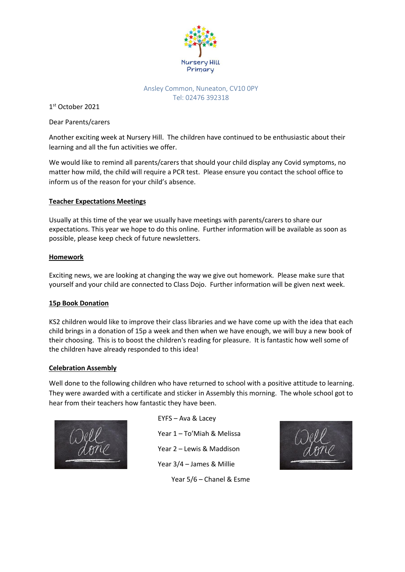

#### Ansley Common, Nuneaton, CV10 0PY Tel: 02476 392318

1 st October 2021

Dear Parents/carers

Another exciting week at Nursery Hill. The children have continued to be enthusiastic about their learning and all the fun activities we offer.

We would like to remind all parents/carers that should your child display any Covid symptoms, no matter how mild, the child will require a PCR test. Please ensure you contact the school office to inform us of the reason for your child's absence.

# **Teacher Expectations Meetings**

Usually at this time of the year we usually have meetings with parents/carers to share our expectations. This year we hope to do this online. Further information will be available as soon as possible, please keep check of future newsletters.

#### **Homework**

Exciting news, we are looking at changing the way we give out homework. Please make sure that yourself and your child are connected to Class Dojo. Further information will be given next week.

# **15p Book Donation**

KS2 children would like to improve their class libraries and we have come up with the idea that each child brings in a donation of 15p a week and then when we have enough, we will buy a new book of their choosing. This is to boost the children's reading for pleasure. It is fantastic how well some of the children have already responded to this idea!

#### **Celebration Assembly**

Well done to the following children who have returned to school with a positive attitude to learning. They were awarded with a certificate and sticker in Assembly this morning. The whole school got to hear from their teachers how fantastic they have been.



EYFS – Ava & Lacey Year 1 – To'Miah & Melissa Year 2 – Lewis & Maddison Year 3/4 – James & Millie

Year 5/6 – Chanel & Esme

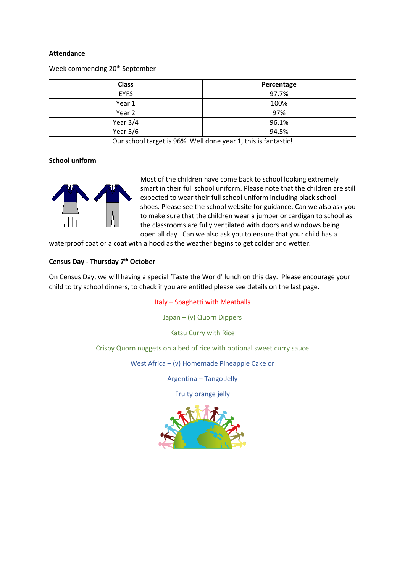#### **Attendance**

Week commencing 20<sup>th</sup> September

| <b>Class</b> | Percentage |
|--------------|------------|
| <b>EYFS</b>  | 97.7%      |
| Year 1       | 100%       |
| Year 2       | 97%        |
| Year $3/4$   | 96.1%      |
| Year 5/6     | 94.5%      |

Our school target is 96%. Well done year 1, this is fantastic!

#### **School uniform**



Most of the children have come back to school looking extremely smart in their full school uniform. Please note that the children are still expected to wear their full school uniform including black school shoes. Please see the school website for guidance. Can we also ask you to make sure that the children wear a jumper or cardigan to school as the classrooms are fully ventilated with doors and windows being open all day. Can we also ask you to ensure that your child has a

waterproof coat or a coat with a hood as the weather begins to get colder and wetter.

#### **Census Day - Thursday 7th October**

On Census Day, we will having a special 'Taste the World' lunch on this day. Please encourage your child to try school dinners, to check if you are entitled please see details on the last page.

#### Italy – Spaghetti with Meatballs

Japan – (v) Quorn Dippers

Katsu Curry with Rice

Crispy Quorn nuggets on a bed of rice with optional sweet curry sauce

West Africa – (v) Homemade Pineapple Cake or

Argentina – Tango Jelly

Fruity orange jelly

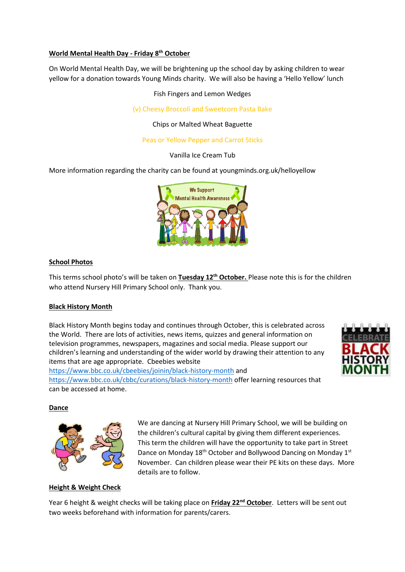#### **World Mental Health Day - Friday 8th October**

On World Mental Health Day, we will be brightening up the school day by asking children to wear yellow for a donation towards Young Minds charity. We will also be having a 'Hello Yellow' lunch

Fish Fingers and Lemon Wedges

(v) Cheesy Broccoli and Sweetcorn Pasta Bake

Chips or Malted Wheat Baguette

### Peas or Yellow Pepper and Carrot Sticks

Vanilla Ice Cream Tub

More information regarding the charity can be found at youngminds.org.uk/helloyellow



#### **School Photos**

This terms school photo's will be taken on **Tuesday 12th October.** Please note this is for the children who attend Nursery Hill Primary School only. Thank you.

#### **Black History Month**

Black History Month begins today and continues through October, this is celebrated across the World. There are lots of activities, news items, quizzes and general information on television programmes, newspapers, magazines and social media. Please support our children's learning and understanding of the wider world by drawing their attention to any items that are age appropriate. Cbeebies website



<https://www.bbc.co.uk/cbbc/curations/black-history-month> offer learning resources that can be accessed at home.

**Dance**



We are dancing at Nursery Hill Primary School, we will be building on the children's cultural capital by giving them different experiences. This term the children will have the opportunity to take part in Street Dance on Monday 18<sup>th</sup> October and Bollywood Dancing on Monday 1<sup>st</sup> November. Can children please wear their PE kits on these days. More details are to follow.

# **Height & Weight Check**

Year 6 height & weight checks will be taking place on **Friday 22nd October**. Letters will be sent out two weeks beforehand with information for parents/carers.

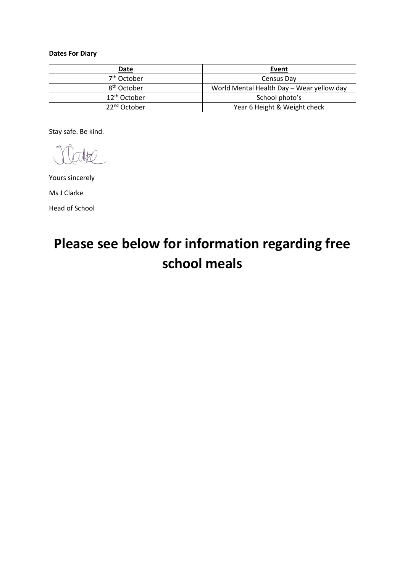# **Dates For Diary**

| Date                     | Event                                     |
|--------------------------|-------------------------------------------|
| 7 <sup>th</sup> October  | Census Day                                |
| 8 <sup>th</sup> October  | World Mental Health Day - Wear yellow day |
| 12 <sup>th</sup> October | School photo's                            |
| 22 <sup>nd</sup> October | Year 6 Height & Weight check              |

Stay safe. Be kind.

Yours sincerely

Ms J Clarke Head of School

# **Please see below for information regarding free school meals**